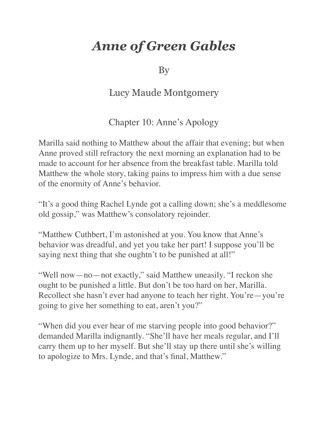## *Anne of Green Gables*

By

## Lucy Maude Montgomery

Chapter 10: Anne's Apology

Marilla said nothing to Matthew about the affair that evening; but when Anne proved still refractory the next morning an explanation had to be made to account for her absence from the breakfast table. Marilla told Matthew the whole story, taking pains to impress him with a due sense of the enormity of Anne's behavior.

"It's a good thing Rachel Lynde got a calling down; she's a meddlesome old gossip," was Matthew's consolatory rejoinder.

"Matthew Cuthbert, I'm astonished at you. You know that Anne's behavior was dreadful, and yet you take her part! I suppose you'll be saying next thing that she oughtn't to be punished at all!"

"Well now—no—not exactly," said Matthew uneasily. "I reckon she ought to be punished a little. But don't be too hard on her, Marilla. Recollect she hasn't ever had anyone to teach her right. You're—you're going to give her something to eat, aren't you?"

"When did you ever hear of me starving people into good behavior?" demanded Marilla indignantly. "She'll have her meals regular, and I'll carry them up to her myself. But she'll stay up there until she's willing to apologize to Mrs. Lynde, and that's final, Matthew."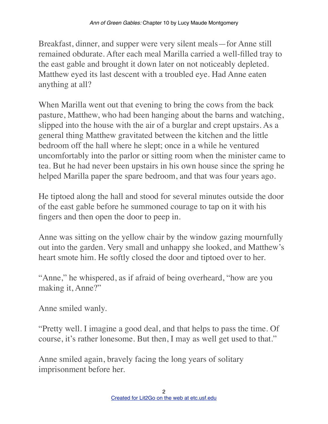Breakfast, dinner, and supper were very silent meals—for Anne still remained obdurate. After each meal Marilla carried a well-filled tray to the east gable and brought it down later on not noticeably depleted. Matthew eyed its last descent with a troubled eye. Had Anne eaten anything at all?

When Marilla went out that evening to bring the cows from the back pasture, Matthew, who had been hanging about the barns and watching, slipped into the house with the air of a burglar and crept upstairs. As a general thing Matthew gravitated between the kitchen and the little bedroom off the hall where he slept; once in a while he ventured uncomfortably into the parlor or sitting room when the minister came to tea. But he had never been upstairs in his own house since the spring he helped Marilla paper the spare bedroom, and that was four years ago.

He tiptoed along the hall and stood for several minutes outside the door of the east gable before he summoned courage to tap on it with his fingers and then open the door to peep in.

Anne was sitting on the yellow chair by the window gazing mournfully out into the garden. Very small and unhappy she looked, and Matthew's heart smote him. He softly closed the door and tiptoed over to her.

"Anne," he whispered, as if afraid of being overheard, "how are you making it, Anne?"

Anne smiled wanly.

"Pretty well. I imagine a good deal, and that helps to pass the time. Of course, it's rather lonesome. But then, I may as well get used to that."

Anne smiled again, bravely facing the long years of solitary imprisonment before her.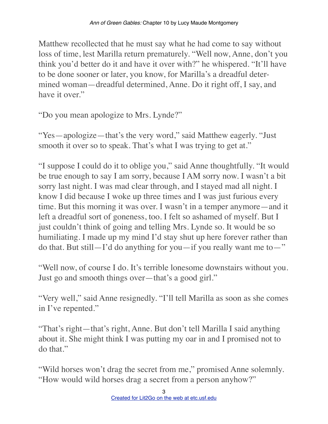Matthew recollected that he must say what he had come to say without loss of time, lest Marilla return prematurely. "Well now, Anne, don't you think you'd better do it and have it over with?" he whispered. "It'll have to be done sooner or later, you know, for Marilla's a dreadful determined woman—dreadful determined, Anne. Do it right off, I say, and have it over."

"Do you mean apologize to Mrs. Lynde?"

"Yes—apologize—that's the very word," said Matthew eagerly. "Just smooth it over so to speak. That's what I was trying to get at."

"I suppose I could do it to oblige you," said Anne thoughtfully. "It would be true enough to say I am sorry, because I AM sorry now. I wasn't a bit sorry last night. I was mad clear through, and I stayed mad all night. I know I did because I woke up three times and I was just furious every time. But this morning it was over. I wasn't in a temper anymore—and it left a dreadful sort of goneness, too. I felt so ashamed of myself. But I just couldn't think of going and telling Mrs. Lynde so. It would be so humiliating. I made up my mind I'd stay shut up here forever rather than do that. But still—I'd do anything for you—if you really want me to—"

"Well now, of course I do. It's terrible lonesome downstairs without you. Just go and smooth things over—that's a good girl."

"Very well," said Anne resignedly. "I'll tell Marilla as soon as she comes in I've repented."

"That's right—that's right, Anne. But don't tell Marilla I said anything about it. She might think I was putting my oar in and I promised not to do that."

"Wild horses won't drag the secret from me," promised Anne solemnly. "How would wild horses drag a secret from a person anyhow?"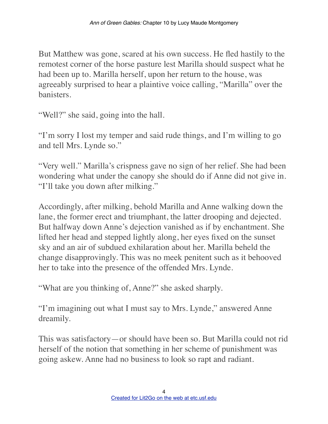But Matthew was gone, scared at his own success. He fled hastily to the remotest corner of the horse pasture lest Marilla should suspect what he had been up to. Marilla herself, upon her return to the house, was agreeably surprised to hear a plaintive voice calling, "Marilla" over the banisters.

"Well?" she said, going into the hall.

"I'm sorry I lost my temper and said rude things, and I'm willing to go and tell Mrs. Lynde so."

"Very well." Marilla's crispness gave no sign of her relief. She had been wondering what under the canopy she should do if Anne did not give in. "I'll take you down after milking."

Accordingly, after milking, behold Marilla and Anne walking down the lane, the former erect and triumphant, the latter drooping and dejected. But halfway down Anne's dejection vanished as if by enchantment. She lifted her head and stepped lightly along, her eyes fixed on the sunset sky and an air of subdued exhilaration about her. Marilla beheld the change disapprovingly. This was no meek penitent such as it behooved her to take into the presence of the offended Mrs. Lynde.

"What are you thinking of, Anne?" she asked sharply.

"I'm imagining out what I must say to Mrs. Lynde," answered Anne dreamily.

This was satisfactory—or should have been so. But Marilla could not rid herself of the notion that something in her scheme of punishment was going askew. Anne had no business to look so rapt and radiant.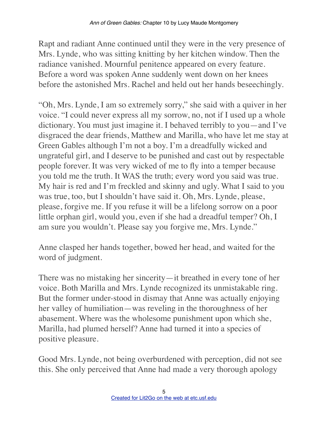Rapt and radiant Anne continued until they were in the very presence of Mrs. Lynde, who was sitting knitting by her kitchen window. Then the radiance vanished. Mournful penitence appeared on every feature. Before a word was spoken Anne suddenly went down on her knees before the astonished Mrs. Rachel and held out her hands beseechingly.

"Oh, Mrs. Lynde, I am so extremely sorry," she said with a quiver in her voice. "I could never express all my sorrow, no, not if I used up a whole dictionary. You must just imagine it. I behaved terribly to you—and I've disgraced the dear friends, Matthew and Marilla, who have let me stay at Green Gables although I'm not a boy. I'm a dreadfully wicked and ungrateful girl, and I deserve to be punished and cast out by respectable people forever. It was very wicked of me to fly into a temper because you told me the truth. It WAS the truth; every word you said was true. My hair is red and I'm freckled and skinny and ugly. What I said to you was true, too, but I shouldn't have said it. Oh, Mrs. Lynde, please, please, forgive me. If you refuse it will be a lifelong sorrow on a poor little orphan girl, would you, even if she had a dreadful temper? Oh, I am sure you wouldn't. Please say you forgive me, Mrs. Lynde."

Anne clasped her hands together, bowed her head, and waited for the word of judgment.

There was no mistaking her sincerity—it breathed in every tone of her voice. Both Marilla and Mrs. Lynde recognized its unmistakable ring. But the former under-stood in dismay that Anne was actually enjoying her valley of humiliation—was reveling in the thoroughness of her abasement. Where was the wholesome punishment upon which she, Marilla, had plumed herself? Anne had turned it into a species of positive pleasure.

Good Mrs. Lynde, not being overburdened with perception, did not see this. She only perceived that Anne had made a very thorough apology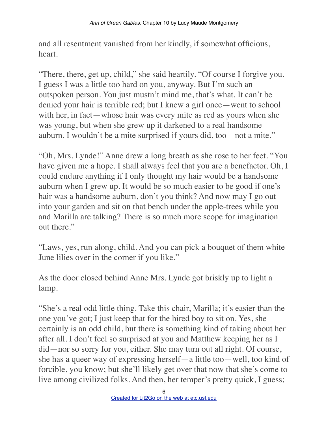and all resentment vanished from her kindly, if somewhat officious, heart.

"There, there, get up, child," she said heartily. "Of course I forgive you. I guess I was a little too hard on you, anyway. But I'm such an outspoken person. You just mustn't mind me, that's what. It can't be denied your hair is terrible red; but I knew a girl once—went to school with her, in fact—whose hair was every mite as red as yours when she was young, but when she grew up it darkened to a real handsome auburn. I wouldn't be a mite surprised if yours did, too—not a mite."

"Oh, Mrs. Lynde!" Anne drew a long breath as she rose to her feet. "You have given me a hope. I shall always feel that you are a benefactor. Oh, I could endure anything if I only thought my hair would be a handsome auburn when I grew up. It would be so much easier to be good if one's hair was a handsome auburn, don't you think? And now may I go out into your garden and sit on that bench under the apple-trees while you and Marilla are talking? There is so much more scope for imagination out there."

"Laws, yes, run along, child. And you can pick a bouquet of them white June lilies over in the corner if you like."

As the door closed behind Anne Mrs. Lynde got briskly up to light a lamp.

"She's a real odd little thing. Take this chair, Marilla; it's easier than the one you've got; I just keep that for the hired boy to sit on. Yes, she certainly is an odd child, but there is something kind of taking about her after all. I don't feel so surprised at you and Matthew keeping her as I did—nor so sorry for you, either. She may turn out all right. Of course, she has a queer way of expressing herself—a little too—well, too kind of forcible, you know; but she'll likely get over that now that she's come to live among civilized folks. And then, her temper's pretty quick, I guess;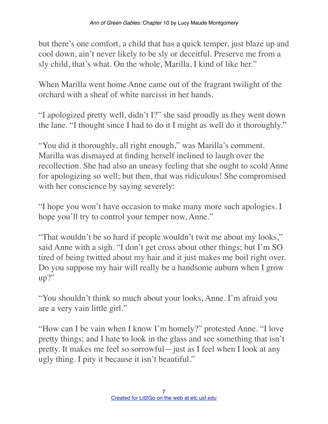but there's one comfort, a child that has a quick temper, just blaze up and cool down, ain't never likely to be sly or deceitful. Preserve me from a sly child, that's what. On the whole, Marilla, I kind of like her."

When Marilla went home Anne came out of the fragrant twilight of the orchard with a sheaf of white narcissi in her hands.

"I apologized pretty well, didn't I?" she said proudly as they went down the lane. "I thought since I had to do it I might as well do it thoroughly."

"You did it thoroughly, all right enough," was Marilla's comment. Marilla was dismayed at finding herself inclined to laugh over the recollection. She had also an uneasy feeling that she ought to scold Anne for apologizing so well; but then, that was ridiculous! She compromised with her conscience by saying severely:

"I hope you won't have occasion to make many more such apologies. I hope you'll try to control your temper now, Anne."

"That wouldn't be so hard if people wouldn't twit me about my looks," said Anne with a sigh. "I don't get cross about other things; but I'm SO tired of being twitted about my hair and it just makes me boil right over. Do you suppose my hair will really be a handsome auburn when I grow up?"

"You shouldn't think so much about your looks, Anne. I'm afraid you are a very vain little girl."

"How can I be vain when I know I'm homely?" protested Anne. "I love pretty things; and I hate to look in the glass and see something that isn't pretty. It makes me feel so sorrowful—just as I feel when I look at any ugly thing. I pity it because it isn't beautiful."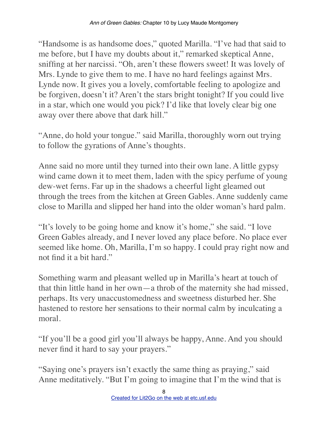"Handsome is as handsome does," quoted Marilla. "I've had that said to me before, but I have my doubts about it," remarked skeptical Anne, sniffing at her narcissi. "Oh, aren't these flowers sweet! It was lovely of Mrs. Lynde to give them to me. I have no hard feelings against Mrs. Lynde now. It gives you a lovely, comfortable feeling to apologize and be forgiven, doesn't it? Aren't the stars bright tonight? If you could live in a star, which one would you pick? I'd like that lovely clear big one away over there above that dark hill."

"Anne, do hold your tongue." said Marilla, thoroughly worn out trying to follow the gyrations of Anne's thoughts.

Anne said no more until they turned into their own lane. A little gypsy wind came down it to meet them, laden with the spicy perfume of young dew-wet ferns. Far up in the shadows a cheerful light gleamed out through the trees from the kitchen at Green Gables. Anne suddenly came close to Marilla and slipped her hand into the older woman's hard palm.

"It's lovely to be going home and know it's home," she said. "I love Green Gables already, and I never loved any place before. No place ever seemed like home. Oh, Marilla, I'm so happy. I could pray right now and not find it a bit hard."

Something warm and pleasant welled up in Marilla's heart at touch of that thin little hand in her own—a throb of the maternity she had missed, perhaps. Its very unaccustomedness and sweetness disturbed her. She hastened to restore her sensations to their normal calm by inculcating a moral.

"If you'll be a good girl you'll always be happy, Anne. And you should never find it hard to say your prayers."

"Saying one's prayers isn't exactly the same thing as praying," said Anne meditatively. "But I'm going to imagine that I'm the wind that is